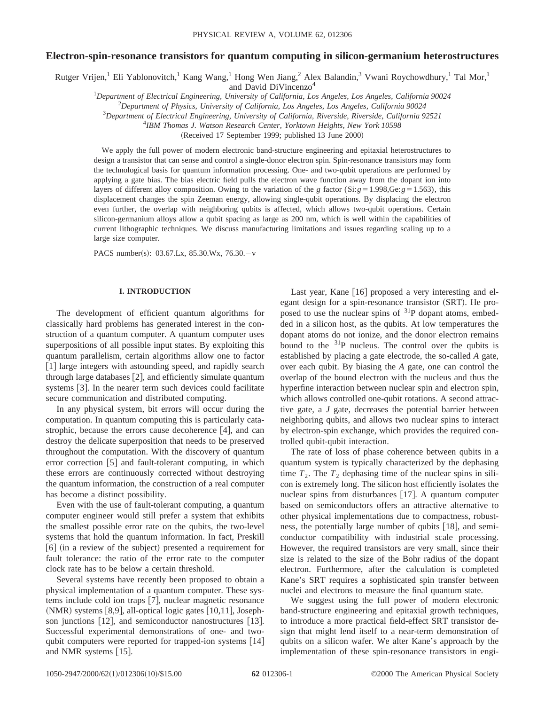# **Electron-spin-resonance transistors for quantum computing in silicon-germanium heterostructures**

Rutger Vrijen,<sup>1</sup> Eli Yablonovitch,<sup>1</sup> Kang Wang,<sup>1</sup> Hong Wen Jiang,<sup>2</sup> Alex Balandin,<sup>3</sup> Vwani Roychowdhury,<sup>1</sup> Tal Mor,<sup>1</sup>

and David DiVincenzo<sup>4</sup>

1 *Department of Electrical Engineering, University of California, Los Angeles, Los Angeles, California 90024*

2 *Department of Physics, University of California, Los Angeles, Los Angeles, California 90024*

3 *Department of Electrical Engineering, University of California, Riverside, Riverside, California 92521*

4 *IBM Thomas J. Watson Research Center, Yorktown Heights, New York 10598*

(Received 17 September 1999; published 13 June 2000)

We apply the full power of modern electronic band-structure engineering and epitaxial heterostructures to design a transistor that can sense and control a single-donor electron spin. Spin-resonance transistors may form the technological basis for quantum information processing. One- and two-qubit operations are performed by applying a gate bias. The bias electric field pulls the electron wave function away from the dopant ion into layers of different alloy composition. Owing to the variation of the *g* factor (Si: $g=1.998$ ,Ge: $g=1.563$ ), this displacement changes the spin Zeeman energy, allowing single-qubit operations. By displacing the electron even further, the overlap with neighboring qubits is affected, which allows two-qubit operations. Certain silicon-germanium alloys allow a qubit spacing as large as 200 nm, which is well within the capabilities of current lithographic techniques. We discuss manufacturing limitations and issues regarding scaling up to a large size computer.

PACS number(s): 03.67.Lx, 85.30.Wx, 76.30. $-v$ 

#### **I. INTRODUCTION**

The development of efficient quantum algorithms for classically hard problems has generated interest in the construction of a quantum computer. A quantum computer uses superpositions of all possible input states. By exploiting this quantum parallelism, certain algorithms allow one to factor [1] large integers with astounding speed, and rapidly search through large databases  $[2]$ , and efficiently simulate quantum systems [3]. In the nearer term such devices could facilitate secure communication and distributed computing.

In any physical system, bit errors will occur during the computation. In quantum computing this is particularly catastrophic, because the errors cause decoherence  $[4]$ , and can destroy the delicate superposition that needs to be preserved throughout the computation. With the discovery of quantum error correction  $\lceil 5 \rceil$  and fault-tolerant computing, in which these errors are continuously corrected without destroying the quantum information, the construction of a real computer has become a distinct possibility.

Even with the use of fault-tolerant computing, a quantum computer engineer would still prefer a system that exhibits the smallest possible error rate on the qubits, the two-level systems that hold the quantum information. In fact, Preskill [6] (in a review of the subject) presented a requirement for fault tolerance: the ratio of the error rate to the computer clock rate has to be below a certain threshold.

Several systems have recently been proposed to obtain a physical implementation of a quantum computer. These systems include cold ion traps  $[7]$ , nuclear magnetic resonance  $(NMR)$  systems [8,9], all-optical logic gates [10,11], Josephson junctions  $[12]$ , and semiconductor nanostructures  $[13]$ . Successful experimental demonstrations of one- and twoqubit computers were reported for trapped-ion systems  $[14]$ and NMR systems  $[15]$ .

Last year, Kane [16] proposed a very interesting and elegant design for a spin-resonance transistor (SRT). He proposed to use the nuclear spins of  $31P$  dopant atoms, embedded in a silicon host, as the qubits. At low temperatures the dopant atoms do not ionize, and the donor electron remains bound to the  $31P$  nucleus. The control over the qubits is established by placing a gate electrode, the so-called *A* gate, over each qubit. By biasing the *A* gate, one can control the overlap of the bound electron with the nucleus and thus the hyperfine interaction between nuclear spin and electron spin, which allows controlled one-qubit rotations. A second attractive gate, a *J* gate, decreases the potential barrier between neighboring qubits, and allows two nuclear spins to interact by electron-spin exchange, which provides the required controlled qubit-qubit interaction.

The rate of loss of phase coherence between qubits in a quantum system is typically characterized by the dephasing time  $T_2$ . The  $T_2$  dephasing time of the nuclear spins in silicon is extremely long. The silicon host efficiently isolates the nuclear spins from disturbances  $[17]$ . A quantum computer based on semiconductors offers an attractive alternative to other physical implementations due to compactness, robustness, the potentially large number of qubits  $[18]$ , and semiconductor compatibility with industrial scale processing. However, the required transistors are very small, since their size is related to the size of the Bohr radius of the dopant electron. Furthermore, after the calculation is completed Kane's SRT requires a sophisticated spin transfer between nuclei and electrons to measure the final quantum state.

We suggest using the full power of modern electronic band-structure engineering and epitaxial growth techniques, to introduce a more practical field-effect SRT transistor design that might lend itself to a near-term demonstration of qubits on a silicon wafer. We alter Kane's approach by the implementation of these spin-resonance transistors in engi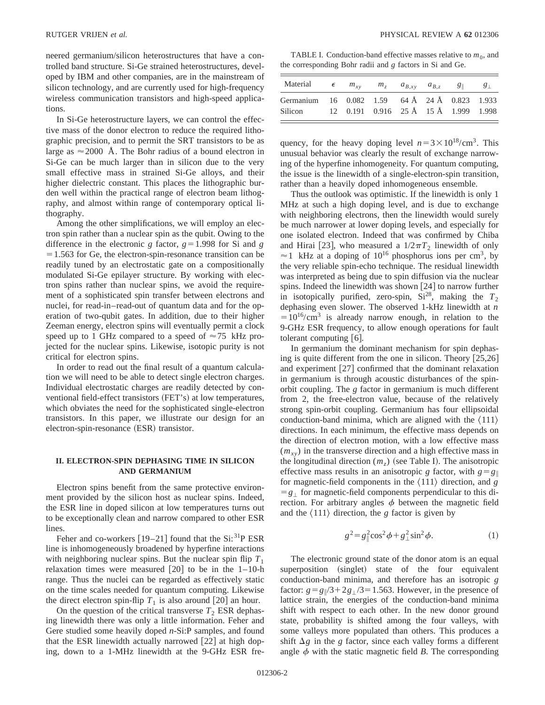neered germanium/silicon heterostructures that have a controlled band structure. Si-Ge strained heterostructures, developed by IBM and other companies, are in the mainstream of silicon technology, and are currently used for high-frequency wireless communication transistors and high-speed applications.

In Si-Ge heterostructure layers, we can control the effective mass of the donor electron to reduce the required lithographic precision, and to permit the SRT transistors to be as large as  $\approx$  2000 Å. The Bohr radius of a bound electron in Si-Ge can be much larger than in silicon due to the very small effective mass in strained Si-Ge alloys, and their higher dielectric constant. This places the lithographic burden well within the practical range of electron beam lithography, and almost within range of contemporary optical lithography.

Among the other simplifications, we will employ an electron spin rather than a nuclear spin as the qubit. Owing to the difference in the electronic *g* factor,  $g=1.998$  for Si and *g*  $=1.563$  for Ge, the electron-spin-resonance transition can be readily tuned by an electrostatic gate on a compositionally modulated Si-Ge epilayer structure. By working with electron spins rather than nuclear spins, we avoid the requirement of a sophisticated spin transfer between electrons and nuclei, for read-in–read-out of quantum data and for the operation of two-qubit gates. In addition, due to their higher Zeeman energy, electron spins will eventually permit a clock speed up to 1 GHz compared to a speed of  $\approx 75$  kHz projected for the nuclear spins. Likewise, isotopic purity is not critical for electron spins.

In order to read out the final result of a quantum calculation we will need to be able to detect single electron charges. Individual electrostatic charges are readily detected by conventional field-effect transistors (FET's) at low temperatures, which obviates the need for the sophisticated single-electron transistors. In this paper, we illustrate our design for an electron-spin-resonance (ESR) transistor.

## **II. ELECTRON-SPIN DEPHASING TIME IN SILICON AND GERMANIUM**

Electron spins benefit from the same protective environment provided by the silicon host as nuclear spins. Indeed, the ESR line in doped silicon at low temperatures turns out to be exceptionally clean and narrow compared to other ESR lines.

Feher and co-workers  $[19-21]$  found that the Si:<sup>31</sup>P ESR line is inhomogeneously broadened by hyperfine interactions with neighboring nuclear spins. But the nuclear spin flip  $T_1$ relaxation times were measured  $[20]$  to be in the 1–10-h range. Thus the nuclei can be regarded as effectively static on the time scales needed for quantum computing. Likewise the direct electron spin-flip  $T_1$  is also around [20] an hour.

On the question of the critical transverse  $T_2$  ESR dephasing linewidth there was only a little information. Feher and Gere studied some heavily doped *n*-Si:P samples, and found that the ESR linewidth actually narrowed  $[22]$  at high doping, down to a 1-MHz linewidth at the 9-GHz ESR fre-

TABLE I. Conduction-band effective masses relative to  $m_0$ , and the corresponding Bohr radii and *g* factors in Si and Ge.

| Material $\epsilon$ $m_{xy}$ $m_z$ $a_{B,xy}$ $a_{B,z}$ $g_{\parallel}$ |  |  |                                      | $g_{\perp}$ |
|-------------------------------------------------------------------------|--|--|--------------------------------------|-------------|
| Germanium 16 0.082 1.59 64 Å 24 Å 0.823 1.933<br>Silicon                |  |  | 12 0.191 0.916 25 Å 15 Å 1.999 1.998 |             |

quency, for the heavy doping level  $n=3\times10^{18}/\text{cm}^3$ . This unusual behavior was clearly the result of exchange narrowing of the hyperfine inhomogeneity. For quantum computing, the issue is the linewidth of a single-electron-spin transition, rather than a heavily doped inhomogeneous ensemble.

Thus the outlook was optimistic. If the linewidth is only 1 MHz at such a high doping level, and is due to exchange with neighboring electrons, then the linewidth would surely be much narrower at lower doping levels, and especially for one isolated electron. Indeed that was confirmed by Chiba and Hirai [23], who measured a  $1/2\pi T_2$  linewidth of only  $\approx$  1 kHz at a doping of 10<sup>16</sup> phosphorus ions per cm<sup>3</sup>, by the very reliable spin-echo technique. The residual linewidth was interpreted as being due to spin diffusion via the nuclear spins. Indeed the linewidth was shown  $[24]$  to narrow further in isotopically purified, zero-spin,  $Si^{28}$ , making the  $T_2$ dephasing even slower. The observed 1-kHz linewidth at *n*  $=10^{16}/\text{cm}^3$  is already narrow enough, in relation to the 9-GHz ESR frequency, to allow enough operations for fault tolerant computing  $[6]$ .

In germanium the dominant mechanism for spin dephasing is quite different from the one in silicon. Theory  $[25,26]$ and experiment  $[27]$  confirmed that the dominant relaxation in germanium is through acoustic disturbances of the spinorbit coupling. The *g* factor in germanium is much different from 2, the free-electron value, because of the relatively strong spin-orbit coupling. Germanium has four ellipsoidal conduction-band minima, which are aligned with the  $\langle 111 \rangle$ directions. In each minimum, the effective mass depends on the direction of electron motion, with a low effective mass  $(m_{xy})$  in the transverse direction and a high effective mass in the longitudinal direction  $(m<sub>z</sub>)$  (see Table I). The anisotropic effective mass results in an anisotropic *g* factor, with  $g = g_{\parallel}$ for magnetic-field components in the  $\langle 111 \rangle$  direction, and *g*  $= g<sub>+</sub>$  for magnetic-field components perpendicular to this direction. For arbitrary angles  $\phi$  between the magnetic field and the  $\langle 111 \rangle$  direction, the *g* factor is given by

$$
g^{2} = g_{\parallel}^{2} \cos^{2} \phi + g_{\perp}^{2} \sin^{2} \phi.
$$
 (1)

The electronic ground state of the donor atom is an equal superposition (singlet) state of the four equivalent conduction-band minima, and therefore has an isotropic *g* factor:  $g = g_{\parallel}/3 + 2g_{\perp}/3 = 1.563$ . However, in the presence of lattice strain, the energies of the conduction-band minima shift with respect to each other. In the new donor ground state, probability is shifted among the four valleys, with some valleys more populated than others. This produces a shift  $\Delta g$  in the *g* factor, since each valley forms a different angle  $\phi$  with the static magnetic field *B*. The corresponding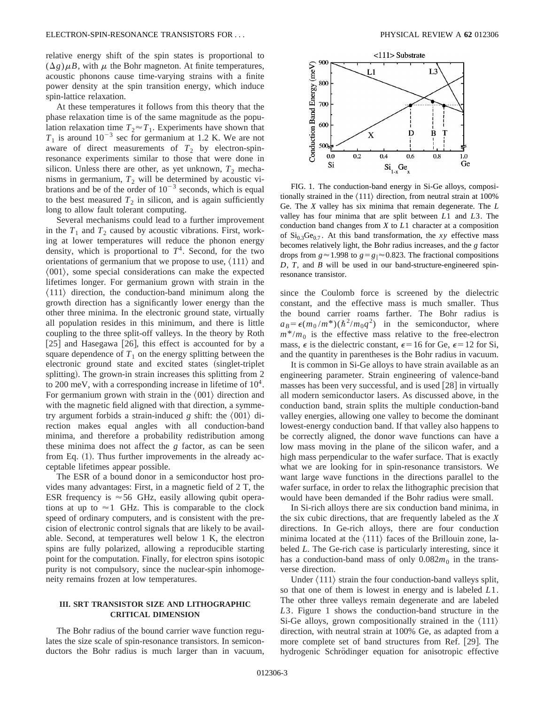relative energy shift of the spin states is proportional to  $(\Delta g) \mu B$ , with  $\mu$  the Bohr magneton. At finite temperatures, acoustic phonons cause time-varying strains with a finite power density at the spin transition energy, which induce spin-lattice relaxation.

At these temperatures it follows from this theory that the phase relaxation time is of the same magnitude as the population relaxation time  $T_2 \approx T_1$ . Experiments have shown that  $T_1$  is around  $10^{-3}$  sec for germanium at 1.2 K. We are not aware of direct measurements of  $T_2$  by electron-spinresonance experiments similar to those that were done in silicon. Unless there are other, as yet unknown,  $T_2$  mechanisms in germanium,  $T_2$  will be determined by acoustic vibrations and be of the order of  $10^{-3}$  seconds, which is equal to the best measured  $T_2$  in silicon, and is again sufficiently long to allow fault tolerant computing.

Several mechanisms could lead to a further improvement in the  $T_1$  and  $T_2$  caused by acoustic vibrations. First, working at lower temperatures will reduce the phonon energy density, which is proportional to  $T<sup>4</sup>$ . Second, for the two orientations of germanium that we propose to use,  $\langle 111 \rangle$  and  $(001)$ , some special considerations can make the expected lifetimes longer. For germanium grown with strain in the  $\langle 111 \rangle$  direction, the conduction-band minimum along the growth direction has a significantly lower energy than the other three minima. In the electronic ground state, virtually all population resides in this minimum, and there is little coupling to the three split-off valleys. In the theory by Roth [25] and Hasegawa [26], this effect is accounted for by a square dependence of  $T_1$  on the energy splitting between the electronic ground state and excited states (singlet-triplet splitting). The grown-in strain increases this splitting from 2 to 200 meV, with a corresponding increase in lifetime of  $10^4$ . For germanium grown with strain in the  $\langle 001 \rangle$  direction and with the magnetic field aligned with that direction, a symmetry argument forbids a strain-induced *g* shift: the  $\langle 001 \rangle$  direction makes equal angles with all conduction-band minima, and therefore a probability redistribution among these minima does not affect the *g* factor, as can be seen from Eq.  $(1)$ . Thus further improvements in the already acceptable lifetimes appear possible.

The ESR of a bound donor in a semiconductor host provides many advantages: First, in a magnetic field of 2 T, the ESR frequency is  $\approx 56$  GHz, easily allowing qubit operations at up to  $\approx$  1 GHz. This is comparable to the clock speed of ordinary computers, and is consistent with the precision of electronic control signals that are likely to be available. Second, at temperatures well below 1 K, the electron spins are fully polarized, allowing a reproducible starting point for the computation. Finally, for electron spins isotopic purity is not compulsory, since the nuclear-spin inhomogeneity remains frozen at low temperatures.

## **III. SRT TRANSISTOR SIZE AND LITHOGRAPHIC CRITICAL DIMENSION**

The Bohr radius of the bound carrier wave function regulates the size scale of spin-resonance transistors. In semiconductors the Bohr radius is much larger than in vacuum,



FIG. 1. The conduction-band energy in Si-Ge alloys, compositionally strained in the  $\langle 111 \rangle$  direction, from neutral strain at 100% Ge. The *X* valley has six minima that remain degenerate. The *L* valley has four minima that are split between *L*1 and *L*3. The conduction band changes from *X* to *L*1 character at a composition of  $Si<sub>0.3</sub>Ge<sub>0.7</sub>$ . At this band transformation, the *xy* effective mass becomes relatively light, the Bohr radius increases, and the *g* factor drops from  $g \approx 1.998$  to  $g = g_{\parallel} \approx 0.823$ . The fractional compositions *D*, *T*, and *B* will be used in our band-structure-engineered spinresonance transistor.

since the Coulomb force is screened by the dielectric constant, and the effective mass is much smaller. Thus the bound carrier roams farther. The Bohr radius is  $a_B = \epsilon (m_0 / m^*) (\hbar^2 / m_0 q^2)$  in the semiconductor, where  $m^*/m_0$  is the effective mass relative to the free-electron mass,  $\epsilon$  is the dielectric constant,  $\epsilon$ =16 for Ge,  $\epsilon$ =12 for Si, and the quantity in parentheses is the Bohr radius in vacuum.

It is common in Si-Ge alloys to have strain available as an engineering parameter. Strain engineering of valence-band masses has been very successful, and is used  $\lceil 28 \rceil$  in virtually all modern semiconductor lasers. As discussed above, in the conduction band, strain splits the multiple conduction-band valley energies, allowing one valley to become the dominant lowest-energy conduction band. If that valley also happens to be correctly aligned, the donor wave functions can have a low mass moving in the plane of the silicon wafer, and a high mass perpendicular to the wafer surface. That is exactly what we are looking for in spin-resonance transistors. We want large wave functions in the directions parallel to the wafer surface, in order to relax the lithographic precision that would have been demanded if the Bohr radius were small.

In Si-rich alloys there are six conduction band minima, in the six cubic directions, that are frequently labeled as the *X* directions. In Ge-rich alloys, there are four conduction minima located at the  $\langle 111 \rangle$  faces of the Brillouin zone, labeled *L*. The Ge-rich case is particularly interesting, since it has a conduction-band mass of only  $0.082m<sub>0</sub>$  in the transverse direction.

Under  $\langle 111 \rangle$  strain the four conduction-band valleys split, so that one of them is lowest in energy and is labeled *L*1. The other three valleys remain degenerate and are labeled *L*3. Figure 1 shows the conduction-band structure in the Si-Ge alloys, grown compositionally strained in the  $\langle 111 \rangle$ direction, with neutral strain at 100% Ge, as adapted from a more complete set of band structures from Ref. [29]. The hydrogenic Schrödinger equation for anisotropic effective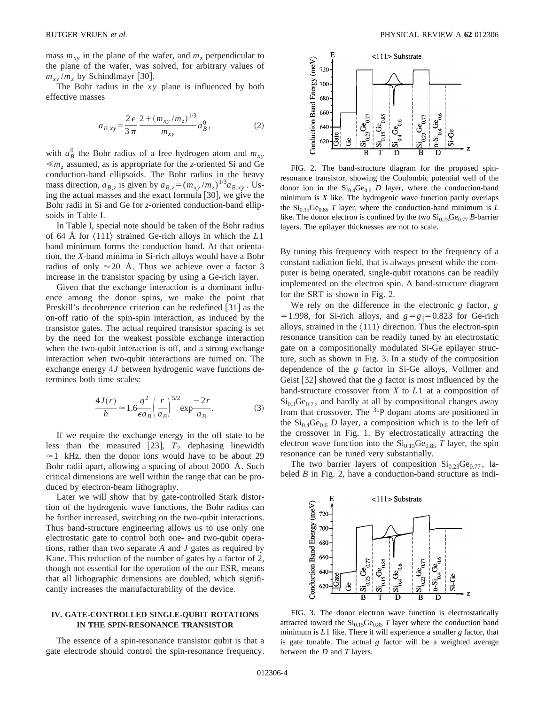mass  $m_{xy}$  in the plane of the wafer, and  $m_{z}$  perpendicular to the plane of the wafer, was solved, for arbitrary values of  $m_{xy}/m_z$  by Schindlmayr [30].

The Bohr radius in the *xy* plane is influenced by both effective masses

$$
a_{B,xy} = \frac{2\,\epsilon}{3\,\pi} \, \frac{2 + (m_{xy}/m_z)^{1/3}}{m_{xy}} a_B^0, \tag{2}
$$

with  $a_B^0$  the Bohr radius of a free hydrogen atom and  $m_{xy}$  $\leq m_z$  assumed, as is appropriate for the *z*-oriented Si and Ge conduction-band ellipsoids. The Bohr radius in the heavy mass direction,  $a_{B,z}$  is given by  $a_{B,z} = (m_{xy}/m_z)^{1/3} a_{B,xy}$ . Using the actual masses and the exact formula  $[30]$ , we give the Bohr radii in Si and Ge for *z*-oriented conduction-band ellipsoids in Table I.

In Table I, special note should be taken of the Bohr radius of 64 Å for  $\langle 111 \rangle$  strained Ge-rich alloys in which the *L*1 band minimum forms the conduction band. At that orientation, the *X*-band minima in Si-rich alloys would have a Bohr radius of only  $\approx 20$  Å. Thus we achieve over a factor 3 increase in the transistor spacing by using a Ge-rich layer.

Given that the exchange interaction is a dominant influence among the donor spins, we make the point that Preskill's decoherence criterion can be redefined  $\lceil 31 \rceil$  as the on-off ratio of the spin-spin interaction, as induced by the transistor gates. The actual required transistor spacing is set by the need for the weakest possible exchange interaction when the two-qubit interaction is off, and a strong exchange interaction when two-qubit interactions are turned on. The exchange energy 4*J* between hydrogenic wave functions determines both time scales:

$$
\frac{4J(r)}{h} \approx 1.6 \frac{q^2}{\epsilon a_B} \left(\frac{r}{a_B}\right)^{5/2} \exp{\frac{-2r}{a_B}}.
$$
 (3)

If we require the exchange energy in the off state to be less than the measured [23],  $T_2$  dephasing linewidth  $\approx$  1 kHz, then the donor ions would have to be about 29 Bohr radii apart, allowing a spacing of about 2000 Å. Such critical dimensions are well within the range that can be produced by electron-beam lithography.

Later we will show that by gate-controlled Stark distortion of the hydrogenic wave functions, the Bohr radius can be further increased, switching on the two-qubit interactions. Thus band-structure engineering allows us to use only one electrostatic gate to control both one- and two-qubit operations, rather than two separate *A* and *J* gates as required by Kane. This reduction of the number of gates by a factor of 2, though not essential for the operation of the our ESR, means that all lithographic dimensions are doubled, which significantly increases the manufacturability of the device.

#### **IV. GATE-CONTROLLED SINGLE-QUBIT ROTATIONS IN THE SPIN-RESONANCE TRANSISTOR**

The essence of a spin-resonance transistor qubit is that a gate electrode should control the spin-resonance frequency.



FIG. 2. The band-structure diagram for the proposed spinresonance transistor, showing the Coulombic potential well of the donor ion in the  $Si<sub>0.4</sub>Ge<sub>0.6</sub>$  *D* layer, where the conduction-band minimum is *X* like. The hydrogenic wave function partly overlaps the  $Si<sub>0.15</sub>Ge<sub>0.85</sub> T layer, where the conduction-band minimum is L$ like. The donor electron is confined by the two  $Si<sub>0.23</sub>Ge<sub>0.77</sub> B$ -barrier layers. The epilayer thicknesses are not to scale.

By tuning this frequency with respect to the frequency of a constant radiation field, that is always present while the computer is being operated, single-qubit rotations can be readily implemented on the electron spin. A band-structure diagram for the SRT is shown in Fig. 2.

We rely on the difference in the electronic *g* factor, *g* =1.998, for Si-rich alloys, and  $g = g_{\parallel} = 0.823$  for Ge-rich alloys, strained in the  $\langle 111 \rangle$  direction. Thus the electron-spin resonance transition can be readily tuned by an electrostatic gate on a compositionally modulated Si-Ge epilayer structure, such as shown in Fig. 3. In a study of the composition dependence of the *g* factor in Si-Ge alloys, Vollmer and Geist [32] showed that the *g* factor is most influenced by the band-structure crossover from *X* to *L*1 at a composition of  $Si<sub>0.3</sub>Ge<sub>0.7</sub>$ , and hardly at all by compositional changes away from that crossover. The  $^{31}P$  dopant atoms are positioned in the  $Si<sub>0.4</sub>Ge<sub>0.6</sub>$  *D* layer, a composition which is to the left of the crossover in Fig. 1. By electrostatically attracting the electron wave function into the  $Si<sub>0.15</sub>Ge<sub>0.85</sub> T$  layer, the spin resonance can be tuned very substantially.

The two barrier layers of composition  $Si_{0.23}Ge_{0.77}$ , labeled *B* in Fig. 2, have a conduction-band structure as indi-



FIG. 3. The donor electron wave function is electrostatically attracted toward the  $Si<sub>0.15</sub>Ge<sub>0.85</sub> T$  layer where the conduction band minimum is *L*1 like. There it will experience a smaller *g* factor, that is gate tunable. The actual *g* factor will be a weighted average between the *D* and *T* layers.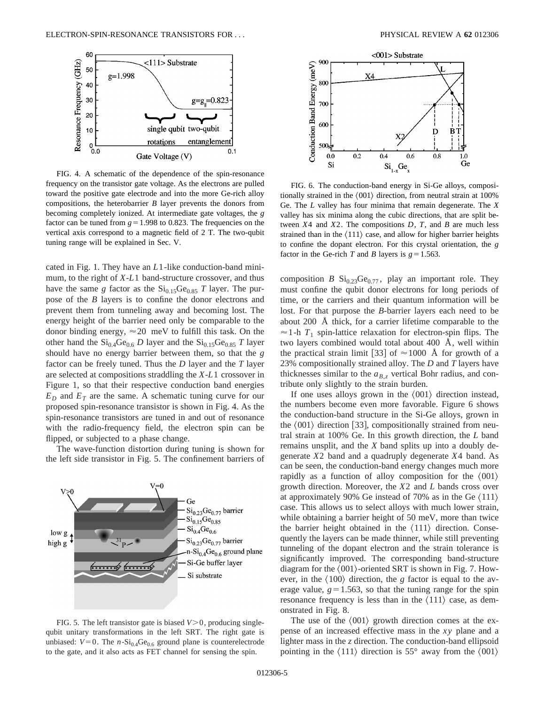

FIG. 4. A schematic of the dependence of the spin-resonance frequency on the transistor gate voltage. As the electrons are pulled toward the positive gate electrode and into the more Ge-rich alloy compositions, the heterobarrier *B* layer prevents the donors from becoming completely ionized. At intermediate gate voltages, the *g* factor can be tuned from  $g=1.998$  to 0.823. The frequencies on the vertical axis correspond to a magnetic field of 2 T. The two-qubit tuning range will be explained in Sec. V.

cated in Fig. 1. They have an *L*1-like conduction-band minimum, to the right of *X*-*L*1 band-structure crossover, and thus have the same *g* factor as the  $Si<sub>0.15</sub>Ge<sub>0.85</sub> T layer. The pur$ pose of the *B* layers is to confine the donor electrons and prevent them from tunneling away and becoming lost. The energy height of the barrier need only be comparable to the donor binding energy,  $\approx 20$  meV to fulfill this task. On the other hand the  $Si<sub>0.4</sub>Ge<sub>0.6</sub> D$  layer and the  $Si<sub>0.15</sub>Ge<sub>0.85</sub> T$  layer should have no energy barrier between them, so that the *g* factor can be freely tuned. Thus the *D* layer and the *T* layer are selected at compositions straddling the *X*-*L*1 crossover in Figure 1, so that their respective conduction band energies  $E_D$  and  $E_T$  are the same. A schematic tuning curve for our proposed spin-resonance transistor is shown in Fig. 4. As the spin-resonance transistors are tuned in and out of resonance with the radio-frequency field, the electron spin can be flipped, or subjected to a phase change.

The wave-function distortion during tuning is shown for the left side transistor in Fig. 5. The confinement barriers of



FIG. 5. The left transistor gate is biased  $V > 0$ , producing singlequbit unitary transformations in the left SRT. The right gate is unbiased:  $V=0$ . The *n*-Si<sub>0.4</sub>Ge<sub>0.6</sub> ground plane is counterelectrode to the gate, and it also acts as FET channel for sensing the spin.



FIG. 6. The conduction-band energy in Si-Ge alloys, compositionally strained in the  $\langle 001 \rangle$  direction, from neutral strain at 100% Ge. The *L* valley has four minima that remain degenerate. The *X* valley has six minima along the cubic directions, that are split between *X*4 and *X*2. The compositions *D*, *T*, and *B* are much less strained than in the  $\langle 111 \rangle$  case, and allow for higher barrier heights to confine the dopant electron. For this crystal orientation, the *g* factor in the Ge-rich *T* and *B* layers is  $g = 1.563$ .

composition *B*  $Si<sub>0.23</sub>Ge<sub>0.77</sub>$ , play an important role. They must confine the qubit donor electrons for long periods of time, or the carriers and their quantum information will be lost. For that purpose the *B*-barrier layers each need to be about 200 Å thick, for a carrier lifetime comparable to the  $\approx$  1-h  $T_1$  spin-lattice relaxation for electron-spin flips. The two layers combined would total about 400 Å, well within the practical strain limit [33] of  $\approx 1000$  Å for growth of a 23% compositionally strained alloy. The *D* and *T* layers have thicknesses similar to the  $a_{B,z}$  vertical Bohr radius, and contribute only slightly to the strain burden.

If one uses alloys grown in the  $\langle 001 \rangle$  direction instead, the numbers become even more favorable. Figure 6 shows the conduction-band structure in the Si-Ge alloys, grown in the  $\langle 001 \rangle$  direction [33], compositionally strained from neutral strain at 100% Ge. In this growth direction, the *L* band remains unsplit, and the *X* band splits up into a doubly degenerate *X*2 band and a quadruply degenerate *X*4 band. As can be seen, the conduction-band energy changes much more rapidly as a function of alloy composition for the  $\langle 001 \rangle$ growth direction. Moreover, the *X*2 and *L* bands cross over at approximately 90% Ge instead of 70% as in the Ge  $\langle 111 \rangle$ case. This allows us to select alloys with much lower strain, while obtaining a barrier height of 50 meV, more than twice the barrier height obtained in the  $\langle 111 \rangle$  direction. Consequently the layers can be made thinner, while still preventing tunneling of the dopant electron and the strain tolerance is significantly improved. The corresponding band-structure diagram for the  $\langle 001 \rangle$ -oriented SRT is shown in Fig. 7. However, in the  $\langle 100 \rangle$  direction, the *g* factor is equal to the average value,  $g=1.563$ , so that the tuning range for the spin resonance frequency is less than in the  $\langle 111 \rangle$  case, as demonstrated in Fig. 8.

The use of the  $\langle 001 \rangle$  growth direction comes at the expense of an increased effective mass in the *xy* plane and a lighter mass in the *z* direction. The conduction-band ellipsoid pointing in the  $\langle 111 \rangle$  direction is 55° away from the  $\langle 001 \rangle$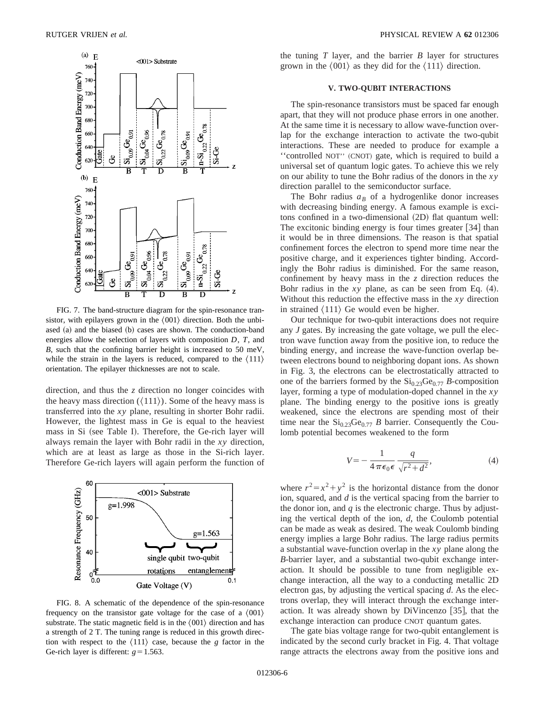

FIG. 7. The band-structure diagram for the spin-resonance transistor, with epilayers grown in the  $\langle 001 \rangle$  direction. Both the unbiased (a) and the biased (b) cases are shown. The conduction-band energies allow the selection of layers with composition *D*, *T*, and *B*, such that the confining barrier height is increased to 50 meV, while the strain in the layers is reduced, compared to the  $\langle 111 \rangle$ orientation. The epilayer thicknesses are not to scale.

direction, and thus the *z* direction no longer coincides with the heavy mass direction  $(\langle 111 \rangle)$ . Some of the heavy mass is transferred into the *xy* plane, resulting in shorter Bohr radii. However, the lightest mass in Ge is equal to the heaviest mass in Si (see Table I). Therefore, the Ge-rich layer will always remain the layer with Bohr radii in the *xy* direction, which are at least as large as those in the Si-rich layer. Therefore Ge-rich layers will again perform the function of



FIG. 8. A schematic of the dependence of the spin-resonance frequency on the transistor gate voltage for the case of a  $\langle 001 \rangle$ substrate. The static magnetic field is in the  $\langle 001 \rangle$  direction and has a strength of 2 T. The tuning range is reduced in this growth direction with respect to the  $\langle 111 \rangle$  case, because the *g* factor in the Ge-rich layer is different:  $g=1.563$ .

the tuning *T* layer, and the barrier *B* layer for structures grown in the  $\langle 001 \rangle$  as they did for the  $\langle 111 \rangle$  direction.

## **V. TWO-QUBIT INTERACTIONS**

The spin-resonance transistors must be spaced far enough apart, that they will not produce phase errors in one another. At the same time it is necessary to allow wave-function overlap for the exchange interaction to activate the two-qubit interactions. These are needed to produce for example a "controlled NOT" (CNOT) gate, which is required to build a universal set of quantum logic gates. To achieve this we rely on our ability to tune the Bohr radius of the donors in the *xy* direction parallel to the semiconductor surface.

The Bohr radius  $a_B$  of a hydrogenlike donor increases with decreasing binding energy. A famous example is excitons confined in a two-dimensional  $(2D)$  flat quantum well: The excitonic binding energy is four times greater  $[34]$  than it would be in three dimensions. The reason is that spatial confinement forces the electron to spend more time near the positive charge, and it experiences tighter binding. Accordingly the Bohr radius is diminished. For the same reason, confinement by heavy mass in the *z* direction reduces the Bohr radius in the *xy* plane, as can be seen from Eq.  $(4)$ . Without this reduction the effective mass in the *xy* direction in strained  $\langle 111 \rangle$  Ge would even be higher.

Our technique for two-qubit interactions does not require any *J* gates. By increasing the gate voltage, we pull the electron wave function away from the positive ion, to reduce the binding energy, and increase the wave-function overlap between electrons bound to neighboring dopant ions. As shown in Fig. 3, the electrons can be electrostatically attracted to one of the barriers formed by the  $Si<sub>0.23</sub>Ge<sub>0.77</sub> B$ -composition layer, forming a type of modulation-doped channel in the *xy* plane. The binding energy to the positive ions is greatly weakened, since the electrons are spending most of their time near the  $Si<sub>0.23</sub>Ge<sub>0.77</sub> B$  barrier. Consequently the Coulomb potential becomes weakened to the form

$$
V = -\frac{1}{4\pi\epsilon_0 \epsilon} \frac{q}{\sqrt{r^2 + d^2}},\tag{4}
$$

where  $r^2 = x^2 + y^2$  is the horizontal distance from the donor ion, squared, and *d* is the vertical spacing from the barrier to the donor ion, and  $q$  is the electronic charge. Thus by adjusting the vertical depth of the ion, *d*, the Coulomb potential can be made as weak as desired. The weak Coulomb binding energy implies a large Bohr radius. The large radius permits a substantial wave-function overlap in the *xy* plane along the *B*-barrier layer, and a substantial two-qubit exchange interaction. It should be possible to tune from negligible exchange interaction, all the way to a conducting metallic 2D electron gas, by adjusting the vertical spacing *d*. As the electrons overlap, they will interact through the exchange interaction. It was already shown by DiVincenzo  $[35]$ , that the exchange interaction can produce CNOT quantum gates.

The gate bias voltage range for two-qubit entanglement is indicated by the second curly bracket in Fig. 4. That voltage range attracts the electrons away from the positive ions and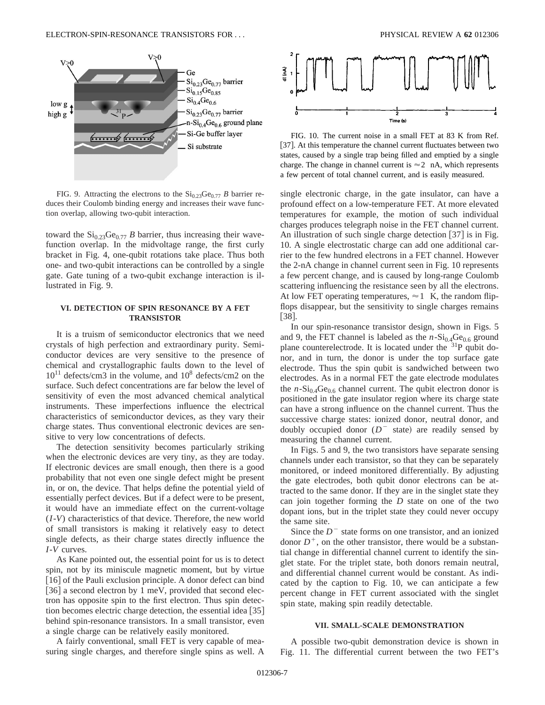

FIG. 9. Attracting the electrons to the  $Si<sub>0.23</sub>Ge<sub>0.77</sub> B$  barrier reduces their Coulomb binding energy and increases their wave function overlap, allowing two-qubit interaction.

toward the  $Si<sub>0.23</sub>Ge<sub>0.77</sub> B$  barrier, thus increasing their wavefunction overlap. In the midvoltage range, the first curly bracket in Fig. 4, one-qubit rotations take place. Thus both one- and two-qubit interactions can be controlled by a single gate. Gate tuning of a two-qubit exchange interaction is illustrated in Fig. 9.

# **VI. DETECTION OF SPIN RESONANCE BY A FET TRANSISTOR**

It is a truism of semiconductor electronics that we need crystals of high perfection and extraordinary purity. Semiconductor devices are very sensitive to the presence of chemical and crystallographic faults down to the level of  $10^{11}$  defects/cm3 in the volume, and  $10^8$  defects/cm2 on the surface. Such defect concentrations are far below the level of sensitivity of even the most advanced chemical analytical instruments. These imperfections influence the electrical characteristics of semiconductor devices, as they vary their charge states. Thus conventional electronic devices are sensitive to very low concentrations of defects.

The detection sensitivity becomes particularly striking when the electronic devices are very tiny, as they are today. If electronic devices are small enough, then there is a good probability that not even one single defect might be present in, or on, the device. That helps define the potential yield of essentially perfect devices. But if a defect were to be present, it would have an immediate effect on the current-voltage (*I*-*V*) characteristics of that device. Therefore, the new world of small transistors is making it relatively easy to detect single defects, as their charge states directly influence the *I*-*V* curves.

As Kane pointed out, the essential point for us is to detect spin, not by its miniscule magnetic moment, but by virtue  $[16]$  of the Pauli exclusion principle. A donor defect can bind [36] a second electron by 1 meV, provided that second electron has opposite spin to the first electron. Thus spin detection becomes electric charge detection, the essential idea  $[35]$ behind spin-resonance transistors. In a small transistor, even a single charge can be relatively easily monitored.



FIG. 10. The current noise in a small FET at 83 K from Ref. [37]. At this temperature the channel current fluctuates between two states, caused by a single trap being filled and emptied by a single charge. The change in channel current is  $\approx$  2 nA, which represents a few percent of total channel current, and is easily measured.

single electronic charge, in the gate insulator, can have a profound effect on a low-temperature FET. At more elevated temperatures for example, the motion of such individual charges produces telegraph noise in the FET channel current. An illustration of such single charge detection  $[37]$  is in Fig. 10. A single electrostatic charge can add one additional carrier to the few hundred electrons in a FET channel. However the 2-nA change in channel current seen in Fig. 10 represents a few percent change, and is caused by long-range Coulomb scattering influencing the resistance seen by all the electrons. At low FET operating temperatures,  $\approx 1$  K, the random flipflops disappear, but the sensitivity to single charges remains  $[38]$ .

In our spin-resonance transistor design, shown in Figs. 5 and 9, the FET channel is labeled as the  $n-Si_{0.4}Ge_{0.6}$  ground plane counterelectrode. It is located under the <sup>31</sup>P qubit donor, and in turn, the donor is under the top surface gate electrode. Thus the spin qubit is sandwiched between two electrodes. As in a normal FET the gate electrode modulates the  $n-Si_{0.4}Ge_{0.6}$  channel current. The qubit electron donor is positioned in the gate insulator region where its charge state can have a strong influence on the channel current. Thus the successive charge states: ionized donor, neutral donor, and doubly occupied donor  $(D<sup>-</sup>$  state) are readily sensed by measuring the channel current.

In Figs. 5 and 9, the two transistors have separate sensing channels under each transistor, so that they can be separately monitored, or indeed monitored differentially. By adjusting the gate electrodes, both qubit donor electrons can be attracted to the same donor. If they are in the singlet state they can join together forming the *D* state on one of the two dopant ions, but in the triplet state they could never occupy the same site.

Since the  $D^-$  state forms on one transistor, and an ionized donor  $D^+$ , on the other transistor, there would be a substantial change in differential channel current to identify the singlet state. For the triplet state, both donors remain neutral, and differential channel current would be constant. As indicated by the caption to Fig. 10, we can anticipate a few percent change in FET current associated with the singlet spin state, making spin readily detectable.

#### **VII. SMALL-SCALE DEMONSTRATION**

A possible two-qubit demonstration device is shown in Fig. 11. The differential current between the two FET's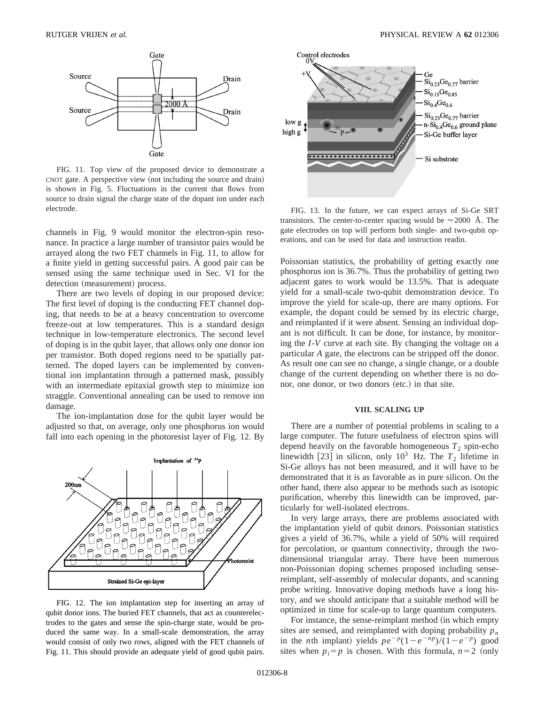

FIG. 11. Top view of the proposed device to demonstrate a CNOT gate. A perspective view (not including the source and drain) is shown in Fig. 5. Fluctuations in the current that flows from source to drain signal the charge state of the dopant ion under each electrode.

channels in Fig. 9 would monitor the electron-spin resonance. In practice a large number of transistor pairs would be arrayed along the two FET channels in Fig. 11, to allow for a finite yield in getting successful pairs. A good pair can be sensed using the same technique used in Sec. VI for the detection (measurement) process.

There are two levels of doping in our proposed device: The first level of doping is the conducting FET channel doping, that needs to be at a heavy concentration to overcome freeze-out at low temperatures. This is a standard design technique in low-temperature electronics. The second level of doping is in the qubit layer, that allows only one donor ion per transistor. Both doped regions need to be spatially patterned. The doped layers can be implemented by conventional ion implantation through a patterned mask, possibly with an intermediate epitaxial growth step to minimize ion straggle. Conventional annealing can be used to remove ion damage.

The ion-implantation dose for the qubit layer would be adjusted so that, on average, only one phosphorus ion would fall into each opening in the photoresist layer of Fig. 12. By



FIG. 12. The ion implantation step for inserting an array of qubit donor ions. The buried FET channels, that act as counterelectrodes to the gates and sense the spin-charge state, would be produced the same way. In a small-scale demonstration, the array would consist of only two rows, aligned with the FET channels of Fig. 11. This should provide an adequate yield of good qubit pairs.



FIG. 13. In the future, we can expect arrays of Si-Ge SRT transistors. The center-to-center spacing would be  $\approx 2000$  Å. The gate electrodes on top will perform both single- and two-qubit operations, and can be used for data and instruction readin.

Poissonian statistics, the probability of getting exactly one phosphorus ion is 36.7%. Thus the probability of getting two adjacent gates to work would be 13.5%. That is adequate yield for a small-scale two-qubit demonstration device. To improve the yield for scale-up, there are many options. For example, the dopant could be sensed by its electric charge, and reimplanted if it were absent. Sensing an individual dopant is not difficult. It can be done, for instance, by monitoring the *I*-*V* curve at each site. By changing the voltage on a particular *A* gate, the electrons can be stripped off the donor. As result one can see no change, a single change, or a double change of the current depending on whether there is no donor, one donor, or two donors (etc.) in that site.

## **VIII. SCALING UP**

There are a number of potential problems in scaling to a large computer. The future usefulness of electron spins will depend heavily on the favorable homogeneous  $T_2$  spin-echo linewidth [23] in silicon, only  $10^3$  Hz. The  $T_2$  lifetime in Si-Ge alloys has not been measured, and it will have to be demonstrated that it is as favorable as in pure silicon. On the other hand, there also appear to be methods such as isotopic purification, whereby this linewidth can be improved, particularly for well-isolated electrons.

In very large arrays, there are problems associated with the implantation yield of qubit donors. Poissonian statistics gives a yield of 36.7%, while a yield of 50% will required for percolation, or quantum connectivity, through the twodimensional triangular array. There have been numerous non-Poissonian doping schemes proposed including sensereimplant, self-assembly of molecular dopants, and scanning probe writing. Innovative doping methods have a long history, and we should anticipate that a suitable method will be optimized in time for scale-up to large quantum computers.

For instance, the sense-reimplant method (in which empty sites are sensed, and reimplanted with doping probability  $p_n$ in the *n*th implant) yields  $pe^{-p}(1-e^{-np})/(1-e^{-p})$  good sites when  $p_i = p$  is chosen. With this formula,  $n = 2$  (only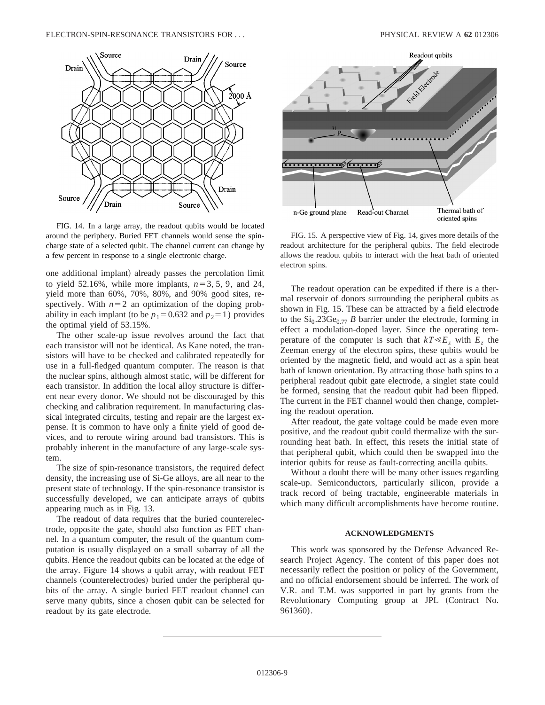

FIG. 14. In a large array, the readout qubits would be located around the periphery. Buried FET channels would sense the spincharge state of a selected qubit. The channel current can change by a few percent in response to a single electronic charge.

one additional implant) already passes the percolation limit to yield 52.16%, while more implants,  $n=3, 5, 9$ , and 24, yield more than 60%, 70%, 80%, and 90% good sites, respectively. With  $n=2$  an optimization of the doping probability in each implant (to be  $p_1 = 0.632$  and  $p_2 = 1$ ) provides the optimal yield of 53.15%.

The other scale-up issue revolves around the fact that each transistor will not be identical. As Kane noted, the transistors will have to be checked and calibrated repeatedly for use in a full-fledged quantum computer. The reason is that the nuclear spins, although almost static, will be different for each transistor. In addition the local alloy structure is different near every donor. We should not be discouraged by this checking and calibration requirement. In manufacturing classical integrated circuits, testing and repair are the largest expense. It is common to have only a finite yield of good devices, and to reroute wiring around bad transistors. This is probably inherent in the manufacture of any large-scale system.

The size of spin-resonance transistors, the required defect density, the increasing use of Si-Ge alloys, are all near to the present state of technology. If the spin-resonance transistor is successfully developed, we can anticipate arrays of qubits appearing much as in Fig. 13.

The readout of data requires that the buried counterelectrode, opposite the gate, should also function as FET channel. In a quantum computer, the result of the quantum computation is usually displayed on a small subarray of all the qubits. Hence the readout qubits can be located at the edge of the array. Figure 14 shows a qubit array, with readout FET channels (counterelectrodes) buried under the peripheral qubits of the array. A single buried FET readout channel can serve many qubits, since a chosen qubit can be selected for readout by its gate electrode.



FIG. 15. A perspective view of Fig. 14, gives more details of the readout architecture for the peripheral qubits. The field electrode allows the readout qubits to interact with the heat bath of oriented electron spins.

The readout operation can be expedited if there is a thermal reservoir of donors surrounding the peripheral qubits as shown in Fig. 15. These can be attracted by a field electrode to the  $Si_0.23Ge_{0.77} B$  barrier under the electrode, forming in effect a modulation-doped layer. Since the operating temperature of the computer is such that  $kT \ll E_z$  with  $E_z$  the Zeeman energy of the electron spins, these qubits would be oriented by the magnetic field, and would act as a spin heat bath of known orientation. By attracting those bath spins to a peripheral readout qubit gate electrode, a singlet state could be formed, sensing that the readout qubit had been flipped. The current in the FET channel would then change, completing the readout operation.

After readout, the gate voltage could be made even more positive, and the readout qubit could thermalize with the surrounding heat bath. In effect, this resets the initial state of that peripheral qubit, which could then be swapped into the interior qubits for reuse as fault-correcting ancilla qubits.

Without a doubt there will be many other issues regarding scale-up. Semiconductors, particularly silicon, provide a track record of being tractable, engineerable materials in which many difficult accomplishments have become routine.

### **ACKNOWLEDGMENTS**

This work was sponsored by the Defense Advanced Research Project Agency. The content of this paper does not necessarily reflect the position or policy of the Government, and no official endorsement should be inferred. The work of V.R. and T.M. was supported in part by grants from the Revolutionary Computing group at JPL (Contract No. 961360).